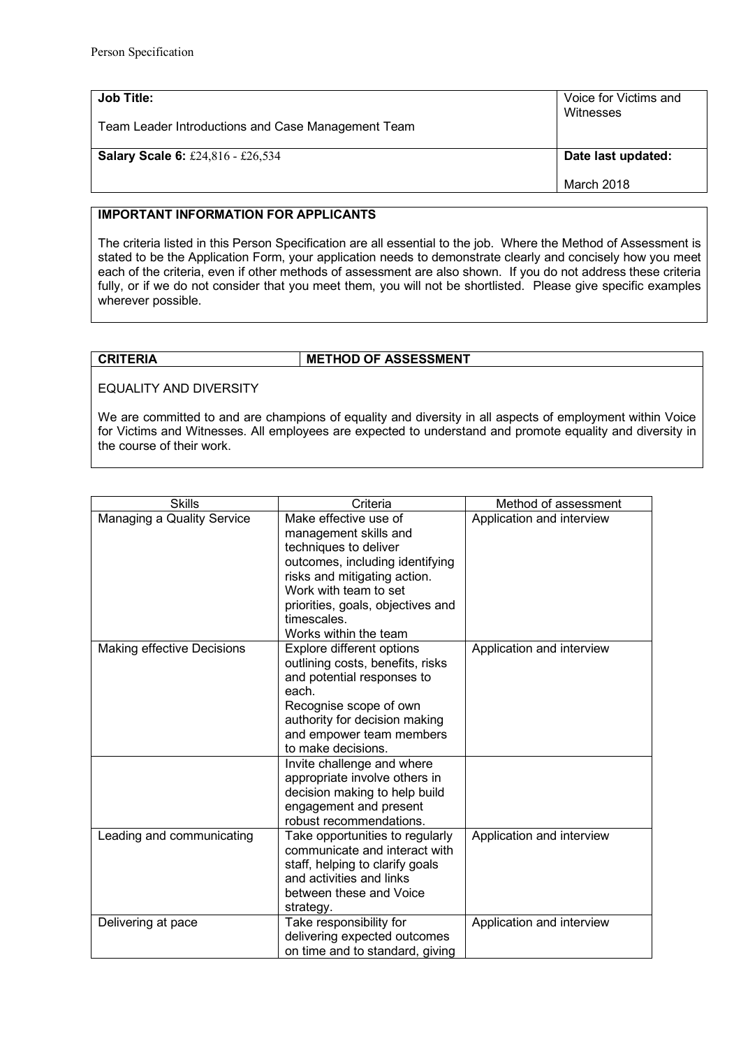| Job Title:                                         | Voice for Victims and            |
|----------------------------------------------------|----------------------------------|
| Team Leader Introductions and Case Management Team | Witnesses                        |
| <b>Salary Scale 6: £24,816 - £26,534</b>           | Date last updated:<br>March 2018 |

## **IMPORTANT INFORMATION FOR APPLICANTS**

The criteria listed in this Person Specification are all essential to the job. Where the Method of Assessment is stated to be the Application Form, your application needs to demonstrate clearly and concisely how you meet each of the criteria, even if other methods of assessment are also shown. If you do not address these criteria fully, or if we do not consider that you meet them, you will not be shortlisted. Please give specific examples wherever possible.

## **CRITERIA METHOD OF ASSESSMENT**

EQUALITY AND DIVERSITY

We are committed to and are champions of equality and diversity in all aspects of employment within Voice for Victims and Witnesses. All employees are expected to understand and promote equality and diversity in the course of their work.

| <b>Skills</b>              | Criteria                          | Method of assessment      |
|----------------------------|-----------------------------------|---------------------------|
| Managing a Quality Service | Make effective use of             | Application and interview |
|                            | management skills and             |                           |
|                            | techniques to deliver             |                           |
|                            | outcomes, including identifying   |                           |
|                            | risks and mitigating action.      |                           |
|                            | Work with team to set             |                           |
|                            | priorities, goals, objectives and |                           |
|                            | timescales.                       |                           |
|                            | Works within the team             |                           |
| Making effective Decisions | Explore different options         | Application and interview |
|                            | outlining costs, benefits, risks  |                           |
|                            | and potential responses to        |                           |
|                            | each.                             |                           |
|                            | Recognise scope of own            |                           |
|                            | authority for decision making     |                           |
|                            | and empower team members          |                           |
|                            | to make decisions.                |                           |
|                            | Invite challenge and where        |                           |
|                            | appropriate involve others in     |                           |
|                            | decision making to help build     |                           |
|                            | engagement and present            |                           |
|                            | robust recommendations.           |                           |
| Leading and communicating  | Take opportunities to regularly   | Application and interview |
|                            | communicate and interact with     |                           |
|                            | staff, helping to clarify goals   |                           |
|                            | and activities and links          |                           |
|                            | between these and Voice           |                           |
|                            | strategy.                         |                           |
| Delivering at pace         | Take responsibility for           | Application and interview |
|                            | delivering expected outcomes      |                           |
|                            | on time and to standard, giving   |                           |